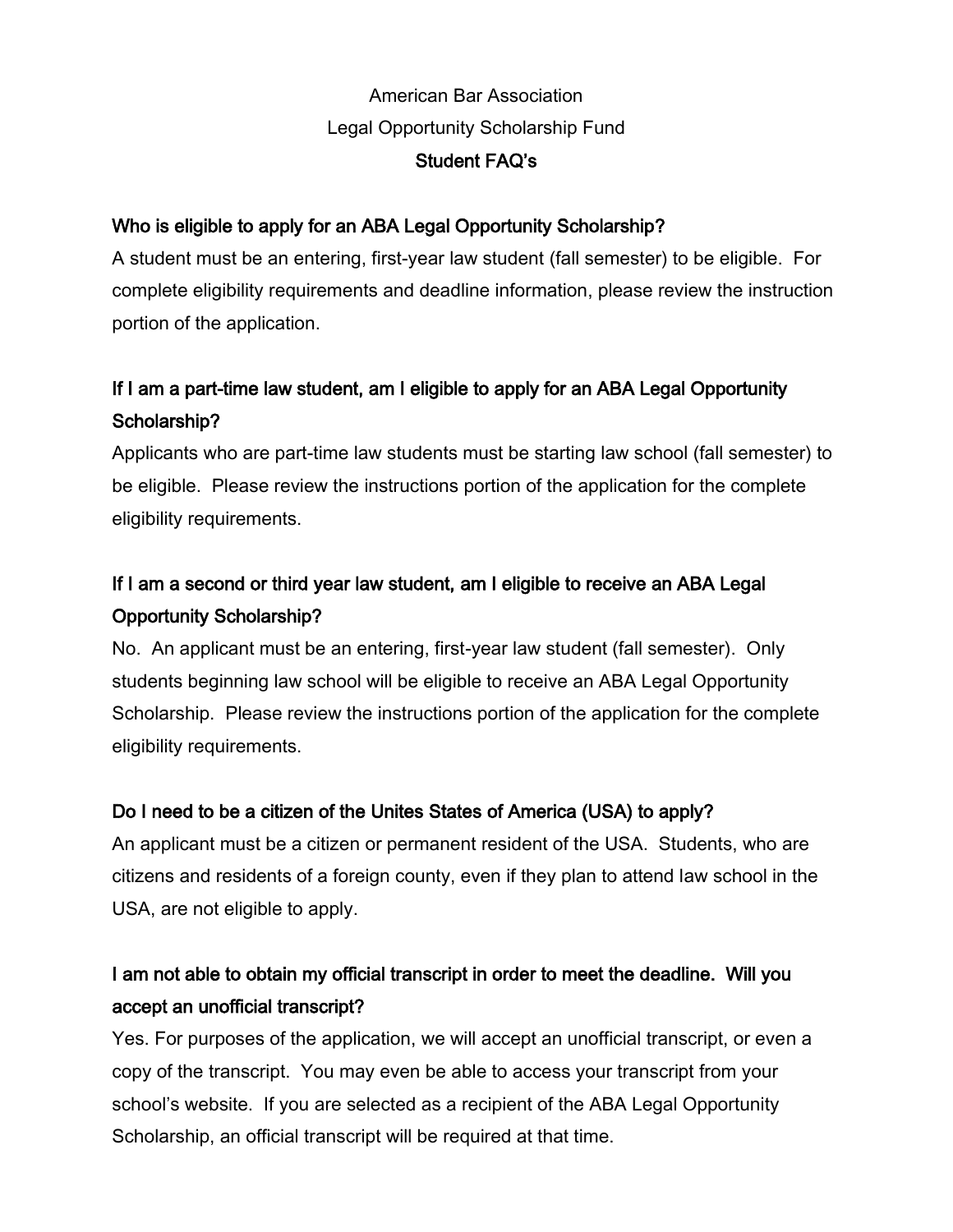## American Bar Association Legal Opportunity Scholarship Fund Student FAQ's

### Who is eligible to apply for an ABA Legal Opportunity Scholarship?

A student must be an entering, first-year law student (fall semester) to be eligible. For complete eligibility requirements and deadline information, please review the instruction portion of the application.

# If I am a part-time law student, am I eligible to apply for an ABA Legal Opportunity Scholarship?

Applicants who are part-time law students must be starting law school (fall semester) to be eligible. Please review the instructions portion of the application for the complete eligibility requirements.

# If I am a second or third year law student, am I eligible to receive an ABA Legal Opportunity Scholarship?

No. An applicant must be an entering, first-year law student (fall semester). Only students beginning law school will be eligible to receive an ABA Legal Opportunity Scholarship. Please review the instructions portion of the application for the complete eligibility requirements.

### Do I need to be a citizen of the Unites States of America (USA) to apply?

An applicant must be a citizen or permanent resident of the USA. Students, who are citizens and residents of a foreign county, even if they plan to attend law school in the USA, are not eligible to apply.

### I am not able to obtain my official transcript in order to meet the deadline. Will you accept an unofficial transcript?

Yes. For purposes of the application, we will accept an unofficial transcript, or even a copy of the transcript. You may even be able to access your transcript from your school's website. If you are selected as a recipient of the ABA Legal Opportunity Scholarship, an official transcript will be required at that time.